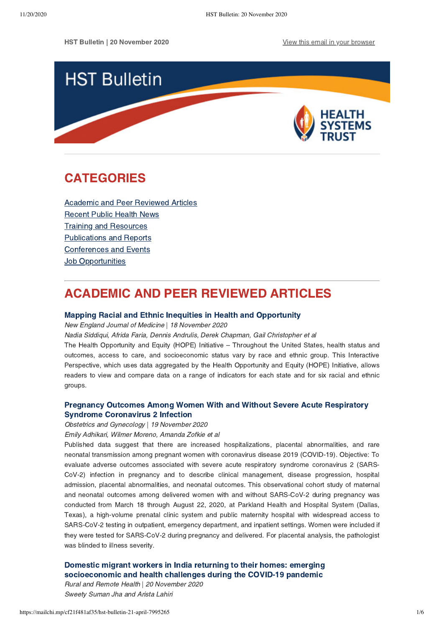HST Bulletin | 20 November 2020 **[View this email in your browser](https://mailchi.mp/cf21f481af35/hst-bulletin-21-april-7995265?e=[UNIQID])** 



# <span id="page-0-1"></span>CATEGORIES

[Academic and Peer Reviewed Articles](#page-0-0) [Recent Public Health News](#page-1-0) Training and Resources [Publications and Reports](#page-2-0) [Conferences and Events](#page-3-0) **Job Opportunities** 

# <span id="page-0-0"></span>ACADEMIC AND PEER REVIEWED ARTICLES

### [Mapping Racial and Ethnic Inequities in Health and Opportunity](https://www.nejm.org/doi/full/10.1056/NEJMp2029139?query=featured_home)

New England Journal of Medicine | 18 November 2020

Nadia Siddiqui, Afrida Faria, Dennis Andrulis, Derek Chapman, Gail Christopher et al

The Health Opportunity and Equity (HOPE) Initiative – Throughout the United States, health status and outcomes, access to care, and socioeconomic status vary by race and ethnic group. This Interactive Perspective, which uses data aggregated by the Health Opportunity and Equity (HOPE) Initiative, allows readers to view and compare data on a range of indicators for each state and for six racial and ethnic groups.

# [Pregnancy Outcomes Among Women With and Without Severe Acute Respiratory](https://jamanetwork.com/journals/jamanetworkopen/fullarticle/2773105) Syndrome Coronavirus 2 Infection

Obstetrics and Gynecology | 19 November 2020

Emily Adhikari, Wilmer Moreno, Amanda Zofkie et al

Published data suggest that there are increased hospitalizations, placental abnormalities, and rare neonatal transmission among pregnant women with coronavirus disease 2019 (COVID-19). Objective: To evaluate adverse outcomes associated with severe acute respiratory syndrome coronavirus 2 (SARS-CoV-2) infection in pregnancy and to describe clinical management, disease progression, hospital admission, placental abnormalities, and neonatal outcomes. This observational cohort study of maternal and neonatal outcomes among delivered women with and without SARS-CoV-2 during pregnancy was conducted from March 18 through August 22, 2020, at Parkland Health and Hospital System (Dallas, Texas), a high-volume prenatal clinic system and public maternity hospital with widespread access to SARS-CoV-2 testing in outpatient, emergency department, and inpatient settings. Women were included if they were tested for SARS-CoV-2 during pregnancy and delivered. For placental analysis, the pathologist was blinded to illness severity.

[Domestic migrant workers in India returning to their homes: emerging](https://www.rrh.org.au/journal/article/6186) socioeconomic and health challenges during the COVID-19 pandemic

Rural and Remote Health | 20 November 2020 Sweety Suman Jha and Arista Lahiri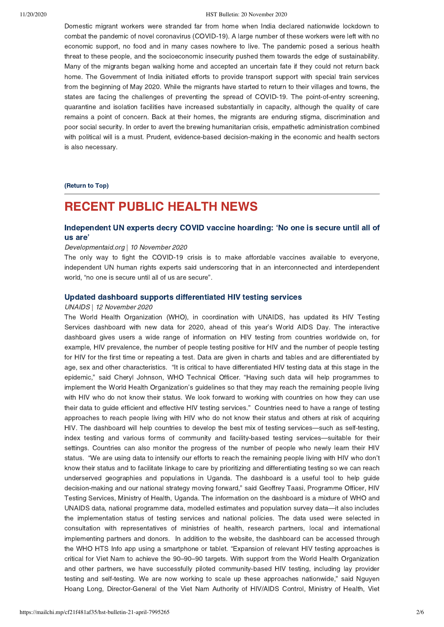#### 11/20/2020 HST Bulletin: 20 November 2020

Domestic migrant workers were stranded far from home when India declared nationwide lockdown to combat the pandemic of novel coronavirus (COVID-19). A large number of these workers were left with no economic support, no food and in many cases nowhere to live. The pandemic posed a serious health threat to these people, and the socioeconomic insecurity pushed them towards the edge of sustainability. Many of the migrants began walking home and accepted an uncertain fate if they could not return back home. The Government of India initiated efforts to provide transport support with special train services from the beginning of May 2020. While the migrants have started to return to their villages and towns, the states are facing the challenges of preventing the spread of COVID-19. The point-of-entry screening, quarantine and isolation facilities have increased substantially in capacity, although the quality of care remains a point of concern. Back at their homes, the migrants are enduring stigma, discrimination and poor social security. In order to avert the brewing humanitarian crisis, empathetic administration combined with political will is a must. Prudent, evidence-based decision-making in the economic and health sectors is also necessary.

[\(Return to Top\)](#page-0-1)

# <span id="page-1-0"></span>RECENT PUBLIC HEALTH NEWS

# [Independent UN experts decry COVID vaccine hoarding: 'No one is secure until all of](https://www.developmentaid.org/#!/news-stream/post/78303/independent-un-experts-decry-covid-vaccine-hoarding-no-one-is-secure-until-all-of-us-are?utm_source=Newsletter&utm_medium=Email&utm_campaign=NewsDigest&token=d122d80c-06e8-11ea-8cc5-52540068df95) us are'

#### Developmentaid.org | 10 November 2020

The only way to fight the COVID-19 crisis is to make affordable vaccines available to everyone, independent UN human rights experts said underscoring that in an interconnected and interdependent world, "no one is secure until all of us are secure".

### [Updated dashboard supports differentiated HIV testing services](https://www.unaids.org/en/resources/presscentre/featurestories/2020/november/20201112_hiv-testing-services-dashboard)

#### UNAIDS | 12 November 2020

The World Health Organization (WHO), in coordination with UNAIDS, has updated its HIV Testing Services dashboard with new data for 2020, ahead of this year's World AIDS Day. The interactive dashboard gives users a wide range of information on HIV testing from countries worldwide on, for example, HIV prevalence, the number of people testing positive for HIV and the number of people testing for HIV for the first time or repeating a test. Data are given in charts and tables and are differentiated by age, sex and other characteristics. "It is critical to have differentiated HIV testing data at this stage in the epidemic," said Cheryl Johnson, WHO Technical Officer. "Having such data will help programmes to implement the World Health Organization's guidelines so that they may reach the remaining people living with HIV who do not know their status. We look forward to working with countries on how they can use their data to guide efficient and effective HIV testing services." Countries need to have a range of testing approaches to reach people living with HIV who do not know their status and others at risk of acquiring HIV. The dashboard will help countries to develop the best mix of testing services—such as self-testing, index testing and various forms of community and facility-based testing services—suitable for their settings. Countries can also monitor the progress of the number of people who newly learn their HIV status. "We are using data to intensify our efforts to reach the remaining people living with HIV who don't know their status and to facilitate linkage to care by prioritizing and differentiating testing so we can reach underserved geographies and populations in Uganda. The dashboard is a useful tool to help guide decision-making and our national strategy moving forward," said Geoffrey Taasi, Programme Officer, HIV Testing Services, Ministry of Health, Uganda. The information on the dashboard is a mixture of WHO and UNAIDS data, national programme data, modelled estimates and population survey data—it also includes the implementation status of testing services and national policies. The data used were selected in consultation with representatives of ministries of health, research partners, local and international implementing partners and donors. In addition to the website, the dashboard can be accessed through the WHO HTS Info app using a smartphone or tablet. "Expansion of relevant HIV testing approaches is critical for Viet Nam to achieve the 90–90–90 targets. With support from the World Health Organization and other partners, we have successfully piloted community-based HIV testing, including lay provider testing and self-testing. We are now working to scale up these approaches nationwide," said Nguyen Hoang Long, Director-General of the Viet Nam Authority of HIV/AIDS Control, Ministry of Health, Viet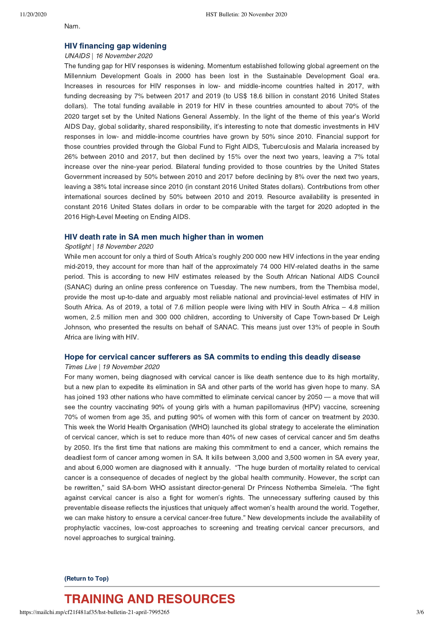#### Nam.

# [HIV financing gap widening](https://www.unaids.org/en/resources/presscentre/featurestories/2020/november/20201116_hiv-financing-gap-widening)

#### UNAIDS | 16 November 2020

The funding gap for HIV responses is widening. Momentum established following global agreement on the Millennium Development Goals in 2000 has been lost in the Sustainable Development Goal era. Increases in resources for HIV responses in low- and middle-income countries halted in 2017, with funding decreasing by 7% between 2017 and 2019 (to US\$ 18.6 billion in constant 2016 United States dollars). The total funding available in 2019 for HIV in these countries amounted to about 70% of the 2020 target set by the United Nations General Assembly. In the light of the theme of this year's World AIDS Day, global solidarity, shared responsibility, it's interesting to note that domestic investments in HIV responses in low- and middle-income countries have grown by 50% since 2010. Financial support for those countries provided through the Global Fund to Fight AIDS, Tuberculosis and Malaria increased by 26% between 2010 and 2017, but then declined by 15% over the next two years, leaving a 7% total increase over the nine-year period. Bilateral funding provided to those countries by the United States Government increased by 50% between 2010 and 2017 before declining by 8% over the next two years, leaving a 38% total increase since 2010 (in constant 2016 United States dollars). Contributions from other international sources declined by 50% between 2010 and 2019. Resource availability is presented in constant 2016 United States dollars in order to be comparable with the target for 2020 adopted in the 2016 High-Level Meeting on Ending AIDS.

# [HIV death rate in SA men much higher than in women](https://www.spotlightnsp.co.za/2020/11/18/hiv-death-rate-in-sa-men-much-higher-than-in-women/)

#### Spotlight | 18 November 2020

While men account for only a third of South Africa's roughly 200 000 new HIV infections in the year ending mid-2019, they account for more than half of the approximately 74 000 HIV-related deaths in the same period. This is according to new HIV estimates released by the South African National AIDS Council (SANAC) during an online press conference on Tuesday. The new numbers, from the Thembisa model, provide the most up-to-date and arguably most reliable national and provincial-level estimates of HIV in South Africa. As of 2019, a total of 7.6 million people were living with HIV in South Africa – 4.8 million women, 2.5 million men and 300 000 children, according to University of Cape Town-based Dr Leigh Johnson, who presented the results on behalf of SANAC. This means just over 13% of people in South Africa are living with HIV.

### [Hope for cervical cancer sufferers as SA commits to ending this deadly disease](https://www.timeslive.co.za/sunday-times/lifestyle/health-and-sex/2020-11-19-hope-for-cervical-cancer-sufferers-as-sa-commits-to-ending-this-deadly-disease/)

#### Times Live | 19 November 2020

For many women, being diagnosed with cervical cancer is like death sentence due to its high mortality, but a new plan to expedite its elimination in SA and other parts of the world has given hope to many. SA has joined 193 other nations who have committed to eliminate cervical cancer by 2050 — a move that will see the country vaccinating 90% of young girls with a human papillomavirus (HPV) vaccine, screening 70% of women from age 35, and putting 90% of women with this form of cancer on treatment by 2030. This week the World Health Organisation (WHO) launched its global strategy to accelerate the elimination of cervical cancer, which is set to reduce more than 40% of new cases of cervical cancer and 5m deaths by 2050. It's the first time that nations are making this commitment to end a cancer, which remains the deadliest form of cancer among women in SA. It kills between 3,000 and 3,500 women in SA every year, and about 6,000 women are diagnosed with it annually. "The huge burden of mortality related to cervical cancer is a consequence of decades of neglect by the global health community. However, the script can be rewritten," said SA-born WHO assistant director-general Dr Princess Nothemba Simelela. "The fight against cervical cancer is also a fight for women's rights. The unnecessary suffering caused by this preventable disease reflects the injustices that uniquely affect women's health around the world. Together, we can make history to ensure a cervical cancer-free future." New developments include the availability of prophylactic vaccines, low-cost approaches to screening and treating cervical cancer precursors, and novel approaches to surgical training.

### <span id="page-2-0"></span>[\(Return to Top\)](#page-0-1)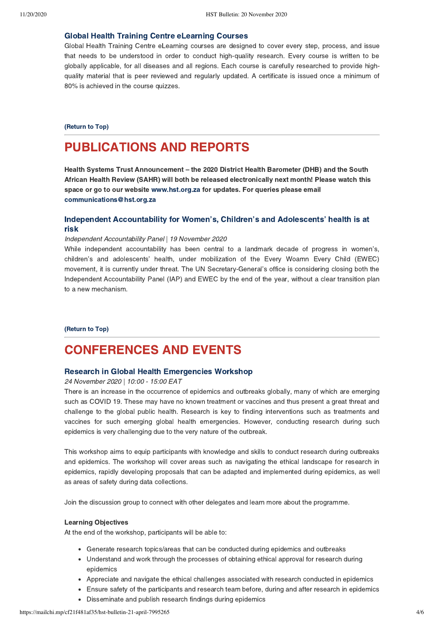### [Global Health Training Centre eLearning Courses](https://globalhealthtrainingcentre.tghn.org/elearning/)

Global Health Training Centre eLearning courses are designed to cover every step, process, and issue that needs to be understood in order to conduct high-quality research. Every course is written to be globally applicable, for all diseases and all regions. Each course is carefully researched to provide highquality material that is peer reviewed and regularly updated. A certificate is issued once a minimum of 80% is achieved in the course quizzes.

#### [\(Return to Top\)](#page-0-1)

# PUBLICATIONS AND REPORTS

Health Systems Trust Announcement – the 2020 District Health Barometer (DHB) and the South<br>African Health Review (SAHR) will both be released electronically next month! Please watch this space or go to our website www.hst.org.za for updates. For queries please email communications@hst.org.za communications@hst.org.za

# [Independent Accountability for Women's, Children's and Adolescents' health is at](https://www.everywomaneverychild-lac.org/e/wp-content/uploads/2020/07/IAP-2020-Full-Report-3.pdf) risk

#### Independent Accountability Panel | 19 November 2020

While independent accountability has been central to a landmark decade of progress in women's, children's and adolescents' health, under mobilization of the Every Woamn Every Child (EWEC) movement, it is currently under threat. The UN Secretary-General's office is considering closing both the Independent Accountability Panel (IAP) and EWEC by the end of the year, without a clear transition plan to a new mechanism.

[\(Return to Top\)](#page-0-1)

# <span id="page-3-0"></span>CONFERENCES AND EVENTS

#### [Research in Global Health Emergencies Workshop](https://alerrt.tghn.org/training/workshop-research-global-health-emergencies/)

# 24 November 2020 | 10:00 - 15:00 EAT

There is an increase in the occurrence of epidemics and outbreaks globally, many of which are emerging such as COVID 19. These may have no known treatment or vaccines and thus present a great threat and challenge to the global public health. Research is key to finding interventions such as treatments and vaccines for such emerging global health emergencies. However, conducting research during such epidemics is very challenging due to the very nature of the outbreak.

This workshop aims to equip participants with knowledge and skills to conduct research during outbreaks and epidemics. The workshop will cover areas such as navigating the ethical landscape for research in epidemics, rapidly developing proposals that can be adapted and implemented during epidemics, as well as areas of safety during data collections.

Join the discussion group to connect with other delegates and learn more about the programme.

At the end of the workshop, participants will be able to:

- Generate research topics/areas that can be conducted during epidemics and outbreaks
- Understand and work through the processes of obtaining ethical approval for research during epidemics
- Appreciate and navigate the ethical challenges associated with research conducted in epidemics
- Ensure safety of the participants and research team before, during and after research in epidemics
- Disseminate and publish research findings during epidemics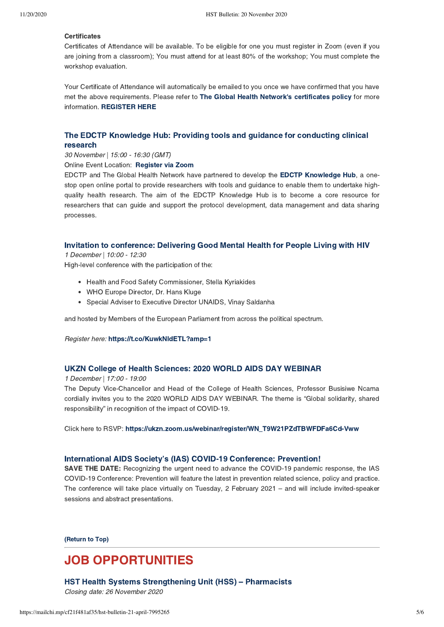#### Certificates

Certificates Certificates of Attendance will be available. To be eligible for one you must register in Zoom (even if you are joining from a classroom); You must attend for at least 80% of the workshop; You must complete the workshop evaluation.

Your Certificate of Attendance will automatically be emailed to you once we have confirmed that you have met the above requirements. Please refer to The Global Health Network['](https://globalhealthtrainingcentre.tghn.org/webinars/certificates-attendance/)s certificates policy for more information.REGISTER HERE

# [The EDCTP Knowledge Hub: Providing tools and guidance for conducting clinical](https://globalhealthtrainingcentre.tghn.org/webinars/) research

30 November | 15:00 - 16:30 (GMT)

Online Event Location: Register via Zoom

EDCTP and The Global Health Network have partnered to develop the EDCTP Knowledge Hub, a onestop open online portal to provide researchers with tools and guidance to enable them to undertake highquality health research. The aim of the EDCTP Knowledge Hub is to become a core resource for researchers that can guide and support the protocol development, data management and data sharing processes.

# [Invitation to conference: Delivering Good Mental Health for People Living with HIV](https://t.co/KuwkNIdETL?amp=1)

1 December | 10:00 - 12:30

High-level conference with the participation of the:

- Health and Food Safety Commissioner, Stella Kyriakides
- WHO Europe Director, Dr. Hans Kluge
- Special Adviser to Executive Director UNAIDS, Vinay Saldanha

and hosted by Members of the European Parliament from across the political spectrum.

Register here: https://t.co/KuwkNIdETL?amp=1 https://t.co/KuwkNIdETL?amp=1

# [UKZN College of Health Sciences: 2020 WORLD AIDS DAY WEBINAR](https://ukzn.zoom.us/webinar/register/WN_T9W21PZdTBWFDFa6Cd-Vww)

1 December | 17:00 - 19:00

The Deputy Vice-Chancellor and Head of the College of Health Sciences, Professor Busisiwe Ncama cordially invites you to the 2020 WORLD AIDS DAY WEBINAR. The theme is "Global solidarity, shared responsibility" in recognition of the impact of COVID-19.

Click here to RSVP:https://ukzn.zoom.us/webinar/register/WN\_T9W21PZdTBWFDFa6Cd-Vww

#### International AIDS Society's (IAS) COVID-19 Conference: Prevention!

SAVE THE DATE: Recognizing the urgent need to advance the COVID-19 pandemic response, the IAS COVID-19 Conference: Prevention will feature the latest in prevention related science, policy and practice. The conference will take place virtually on Tuesday, 2 February 2021 – and will include invited-speaker sessions and abstract presentations.

[\(Return to Top\)](#page-0-1)

# JOB OPPORTUNITIES

[HST Health Systems Strengthening Unit \(HSS\) – Pharmacists](https://www.hst.org.za/Pages/HSS-Pharmacists1113-2741.aspx)

Closing date: 26 November 2020